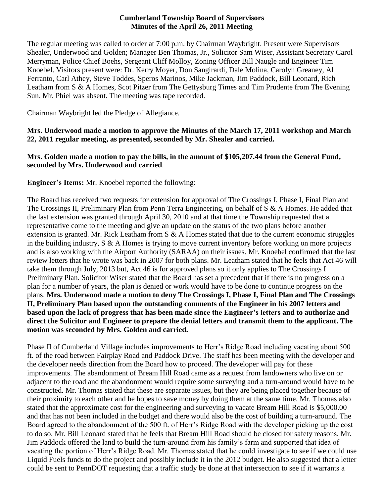### **Cumberland Township Board of Supervisors Minutes of the April 26, 2011 Meeting**

The regular meeting was called to order at 7:00 p.m. by Chairman Waybright. Present were Supervisors Shealer, Underwood and Golden; Manager Ben Thomas, Jr., Solicitor Sam Wiser, Assistant Secretary Carol Merryman, Police Chief Boehs, Sergeant Cliff Molloy, Zoning Officer Bill Naugle and Engineer Tim Knoebel. Visitors present were: Dr. Kerry Moyer, Don Sangirardi, Dale Molina, Carolyn Greaney, Al Ferranto, Carl Athey, Steve Toddes, Speros Marinos, Mike Jackman, Jim Paddock, Bill Leonard, Rich Leatham from S & A Homes, Scot Pitzer from The Gettysburg Times and Tim Prudente from The Evening Sun. Mr. Phiel was absent. The meeting was tape recorded.

Chairman Waybright led the Pledge of Allegiance.

**Mrs. Underwood made a motion to approve the Minutes of the March 17, 2011 workshop and March 22, 2011 regular meeting, as presented, seconded by Mr. Shealer and carried.**

### **Mrs. Golden made a motion to pay the bills, in the amount of \$105,207.44 from the General Fund, seconded by Mrs. Underwood and carried**.

**Engineer's Items:** Mr. Knoebel reported the following:

The Board has received two requests for extension for approval of The Crossings I, Phase I, Final Plan and The Crossings II, Preliminary Plan from Penn Terra Engineering, on behalf of S & A Homes. He added that the last extension was granted through April 30, 2010 and at that time the Township requested that a representative come to the meeting and give an update on the status of the two plans before another extension is granted. Mr. Rick Leatham from  $S \& A$  Homes stated that due to the current economic struggles in the building industry,  $S \& A$  Homes is trying to move current inventory before working on more projects and is also working with the Airport Authority (SARAA) on their issues. Mr. Knoebel confirmed that the last review letters that he wrote was back in 2007 for both plans. Mr. Leatham stated that he feels that Act 46 will take them through July, 2013 but, Act 46 is for approved plans so it only applies to The Crossings I Preliminary Plan. Solicitor Wiser stated that the Board has set a precedent that if there is no progress on a plan for a number of years, the plan is denied or work would have to be done to continue progress on the plans. **Mrs. Underwood made a motion to deny The Crossings I, Phase I, Final Plan and The Crossings II, Preliminary Plan based upon the outstanding comments of the Engineer in his 2007 letters and based upon the lack of progress that has been made since the Engineer's letters and to authorize and direct the Solicitor and Engineer to prepare the denial letters and transmit them to the applicant. The motion was seconded by Mrs. Golden and carried.**

Phase II of Cumberland Village includes improvements to Herr's Ridge Road including vacating about 500 ft. of the road between Fairplay Road and Paddock Drive. The staff has been meeting with the developer and the developer needs direction from the Board how to proceed. The developer will pay for these improvements. The abandonment of Bream Hill Road came as a request from landowners who live on or adjacent to the road and the abandonment would require some surveying and a turn-around would have to be constructed. Mr. Thomas stated that these are separate issues, but they are being placed together because of their proximity to each other and he hopes to save money by doing them at the same time. Mr. Thomas also stated that the approximate cost for the engineering and surveying to vacate Bream Hill Road is \$5,000.00 and that has not been included in the budget and there would also be the cost of building a turn-around. The Board agreed to the abandonment of the 500 ft. of Herr's Ridge Road with the developer picking up the cost to do so. Mr. Bill Leonard stated that he feels that Bream Hill Road should be closed for safety reasons. Mr. Jim Paddock offered the land to build the turn-around from his family's farm and supported that idea of vacating the portion of Herr's Ridge Road. Mr. Thomas stated that he could investigate to see if we could use Liquid Fuels funds to do the project and possibly include it in the 2012 budget. He also suggested that a letter could be sent to PennDOT requesting that a traffic study be done at that intersection to see if it warrants a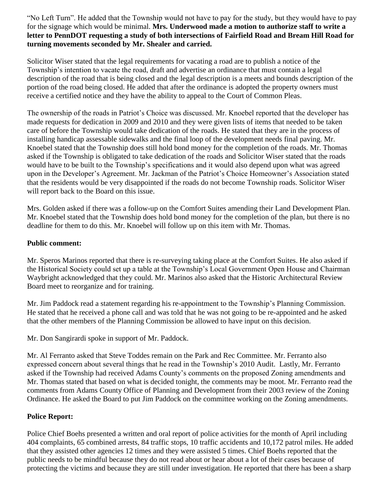"No Left Turn". He added that the Township would not have to pay for the study, but they would have to pay for the signage which would be minimal. **Mrs. Underwood made a motion to authorize staff to write a letter to PennDOT requesting a study of both intersections of Fairfield Road and Bream Hill Road for turning movements seconded by Mr. Shealer and carried.** 

Solicitor Wiser stated that the legal requirements for vacating a road are to publish a notice of the Township's intention to vacate the road, draft and advertise an ordinance that must contain a legal description of the road that is being closed and the legal description is a meets and bounds description of the portion of the road being closed. He added that after the ordinance is adopted the property owners must receive a certified notice and they have the ability to appeal to the Court of Common Pleas.

The ownership of the roads in Patriot's Choice was discussed. Mr. Knoebel reported that the developer has made requests for dedication in 2009 and 2010 and they were given lists of items that needed to be taken care of before the Township would take dedication of the roads. He stated that they are in the process of installing handicap assessable sidewalks and the final loop of the development needs final paving. Mr. Knoebel stated that the Township does still hold bond money for the completion of the roads. Mr. Thomas asked if the Township is obligated to take dedication of the roads and Solicitor Wiser stated that the roads would have to be built to the Township's specifications and it would also depend upon what was agreed upon in the Developer's Agreement. Mr. Jackman of the Patriot's Choice Homeowner's Association stated that the residents would be very disappointed if the roads do not become Township roads. Solicitor Wiser will report back to the Board on this issue.

Mrs. Golden asked if there was a follow-up on the Comfort Suites amending their Land Development Plan. Mr. Knoebel stated that the Township does hold bond money for the completion of the plan, but there is no deadline for them to do this. Mr. Knoebel will follow up on this item with Mr. Thomas.

### **Public comment:**

Mr. Speros Marinos reported that there is re-surveying taking place at the Comfort Suites. He also asked if the Historical Society could set up a table at the Township's Local Government Open House and Chairman Waybright acknowledged that they could. Mr. Marinos also asked that the Historic Architectural Review Board meet to reorganize and for training.

Mr. Jim Paddock read a statement regarding his re-appointment to the Township's Planning Commission. He stated that he received a phone call and was told that he was not going to be re-appointed and he asked that the other members of the Planning Commission be allowed to have input on this decision.

Mr. Don Sangirardi spoke in support of Mr. Paddock.

Mr. Al Ferranto asked that Steve Toddes remain on the Park and Rec Committee. Mr. Ferranto also expressed concern about several things that he read in the Township's 2010 Audit. Lastly, Mr. Ferranto asked if the Township had received Adams County's comments on the proposed Zoning amendments and Mr. Thomas stated that based on what is decided tonight, the comments may be moot. Mr. Ferranto read the comments from Adams County Office of Planning and Development from their 2003 review of the Zoning Ordinance. He asked the Board to put Jim Paddock on the committee working on the Zoning amendments.

## **Police Report:**

Police Chief Boehs presented a written and oral report of police activities for the month of April including 404 complaints, 65 combined arrests, 84 traffic stops, 10 traffic accidents and 10,172 patrol miles. He added that they assisted other agencies 12 times and they were assisted 5 times. Chief Boehs reported that the public needs to be mindful because they do not read about or hear about a lot of their cases because of protecting the victims and because they are still under investigation. He reported that there has been a sharp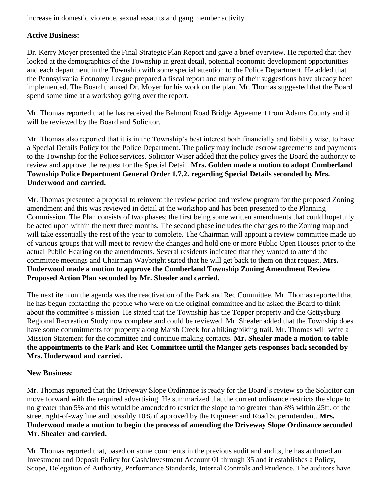increase in domestic violence, sexual assaults and gang member activity.

# **Active Business:**

Dr. Kerry Moyer presented the Final Strategic Plan Report and gave a brief overview. He reported that they looked at the demographics of the Township in great detail, potential economic development opportunities and each department in the Township with some special attention to the Police Department. He added that the Pennsylvania Economy League prepared a fiscal report and many of their suggestions have already been implemented. The Board thanked Dr. Moyer for his work on the plan. Mr. Thomas suggested that the Board spend some time at a workshop going over the report.

Mr. Thomas reported that he has received the Belmont Road Bridge Agreement from Adams County and it will be reviewed by the Board and Solicitor.

Mr. Thomas also reported that it is in the Township's best interest both financially and liability wise, to have a Special Details Policy for the Police Department. The policy may include escrow agreements and payments to the Township for the Police services. Solicitor Wiser added that the policy gives the Board the authority to review and approve the request for the Special Detail. **Mrs. Golden made a motion to adopt Cumberland Township Police Department General Order 1.7.2. regarding Special Details seconded by Mrs. Underwood and carried.**

Mr. Thomas presented a proposal to reinvent the review period and review program for the proposed Zoning amendment and this was reviewed in detail at the workshop and has been presented to the Planning Commission. The Plan consists of two phases; the first being some written amendments that could hopefully be acted upon within the next three months. The second phase includes the changes to the Zoning map and will take essentially the rest of the year to complete. The Chairman will appoint a review committee made up of various groups that will meet to review the changes and hold one or more Public Open Houses prior to the actual Public Hearing on the amendments. Several residents indicated that they wanted to attend the committee meetings and Chairman Waybright stated that he will get back to them on that request. **Mrs. Underwood made a motion to approve the Cumberland Township Zoning Amendment Review Proposed Action Plan seconded by Mr. Shealer and carried.**

The next item on the agenda was the reactivation of the Park and Rec Committee. Mr. Thomas reported that he has begun contacting the people who were on the original committee and he asked the Board to think about the committee's mission. He stated that the Township has the Topper property and the Gettysburg Regional Recreation Study now complete and could be reviewed. Mr. Shealer added that the Township does have some commitments for property along Marsh Creek for a hiking/biking trail. Mr. Thomas will write a Mission Statement for the committee and continue making contacts. **Mr. Shealer made a motion to table the appointments to the Park and Rec Committee until the Manger gets responses back seconded by Mrs. Underwood and carried.**

## **New Business:**

Mr. Thomas reported that the Driveway Slope Ordinance is ready for the Board's review so the Solicitor can move forward with the required advertising. He summarized that the current ordinance restricts the slope to no greater than 5% and this would be amended to restrict the slope to no greater than 8% within 25ft. of the street right-of-way line and possibly 10% if approved by the Engineer and Road Superintendent. **Mrs. Underwood made a motion to begin the process of amending the Driveway Slope Ordinance seconded Mr. Shealer and carried.**

Mr. Thomas reported that, based on some comments in the previous audit and audits, he has authored an Investment and Deposit Policy for Cash/Investment Account 01 through 35 and it establishes a Policy, Scope, Delegation of Authority, Performance Standards, Internal Controls and Prudence. The auditors have